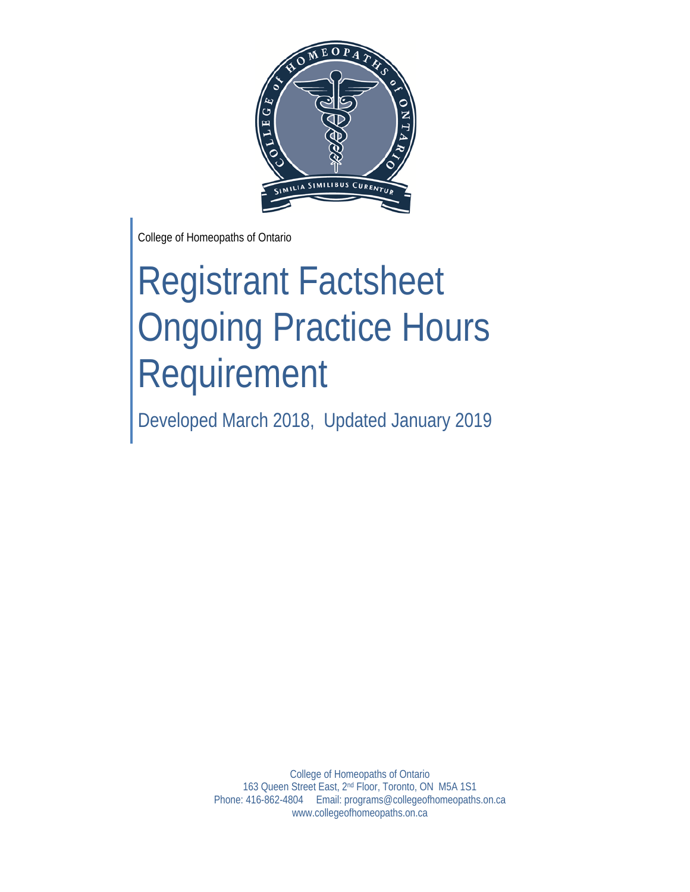

College of Homeopaths of Ontario

# Registrant Factsheet Ongoing Practice Hours Requirement

Developed March 2018, Updated January 2019

College of Homeopaths of Ontario 163 Queen Street East, 2nd Floor, Toronto, ON M5A 1S1 Phone: 416-862-4804 Email: programs@collegeofhomeopaths.on.ca www.collegeofhomeopaths.on.ca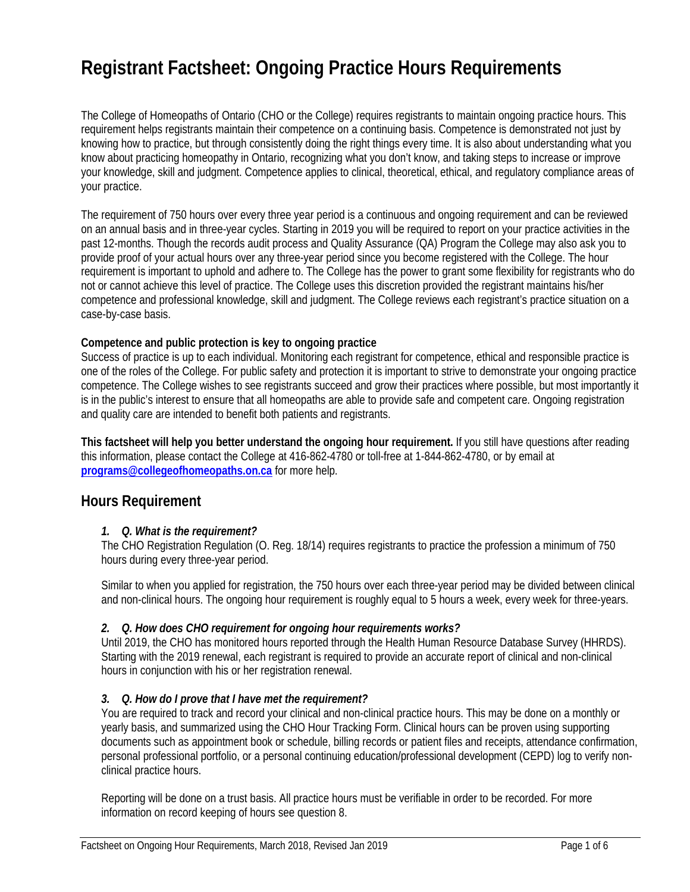# **Registrant Factsheet: Ongoing Practice Hours Requirements**

The College of Homeopaths of Ontario (CHO or the College) requires registrants to maintain ongoing practice hours. This requirement helps registrants maintain their competence on a continuing basis. Competence is demonstrated not just by knowing how to practice, but through consistently doing the right things every time. It is also about understanding what you know about practicing homeopathy in Ontario, recognizing what you don't know, and taking steps to increase or improve your knowledge, skill and judgment. Competence applies to clinical, theoretical, ethical, and regulatory compliance areas of your practice.

The requirement of 750 hours over every three year period is a continuous and ongoing requirement and can be reviewed on an annual basis and in three-year cycles. Starting in 2019 you will be required to report on your practice activities in the past 12-months. Though the records audit process and Quality Assurance (QA) Program the College may also ask you to provide proof of your actual hours over any three-year period since you become registered with the College. The hour requirement is important to uphold and adhere to. The College has the power to grant some flexibility for registrants who do not or cannot achieve this level of practice. The College uses this discretion provided the registrant maintains his/her competence and professional knowledge, skill and judgment. The College reviews each registrant's practice situation on a case-by-case basis.

#### **Competence and public protection is key to ongoing practice**

Success of practice is up to each individual. Monitoring each registrant for competence, ethical and responsible practice is one of the roles of the College. For public safety and protection it is important to strive to demonstrate your ongoing practice competence. The College wishes to see registrants succeed and grow their practices where possible, but most importantly it is in the public's interest to ensure that all homeopaths are able to provide safe and competent care. Ongoing registration and quality care are intended to benefit both patients and registrants.

**This factsheet will help you better understand the ongoing hour requirement.** If you still have questions after reading this information, please contact the College at 416-862-4780 or toll-free at 1-844-862-4780, or by email at **programs@collegeofhomeopaths.on.ca** for more help.

#### **Hours Requirement**

#### *1. Q. What is the requirement?*

The CHO Registration Regulation (O. Reg. 18/14) requires registrants to practice the profession a minimum of 750 hours during every three-year period.

Similar to when you applied for registration, the 750 hours over each three-year period may be divided between clinical and non-clinical hours. The ongoing hour requirement is roughly equal to 5 hours a week, every week for three-years.

#### *2. Q. How does CHO requirement for ongoing hour requirements works?*

Until 2019, the CHO has monitored hours reported through the Health Human Resource Database Survey (HHRDS). Starting with the 2019 renewal, each registrant is required to provide an accurate report of clinical and non-clinical hours in conjunction with his or her registration renewal.

#### *3. Q. How do I prove that I have met the requirement?*

You are required to track and record your clinical and non-clinical practice hours. This may be done on a monthly or yearly basis, and summarized using the CHO Hour Tracking Form. Clinical hours can be proven using supporting documents such as appointment book or schedule, billing records or patient files and receipts, attendance confirmation, personal professional portfolio, or a personal continuing education/professional development (CEPD) log to verify nonclinical practice hours.

Reporting will be done on a trust basis. All practice hours must be verifiable in order to be recorded. For more information on record keeping of hours see question 8.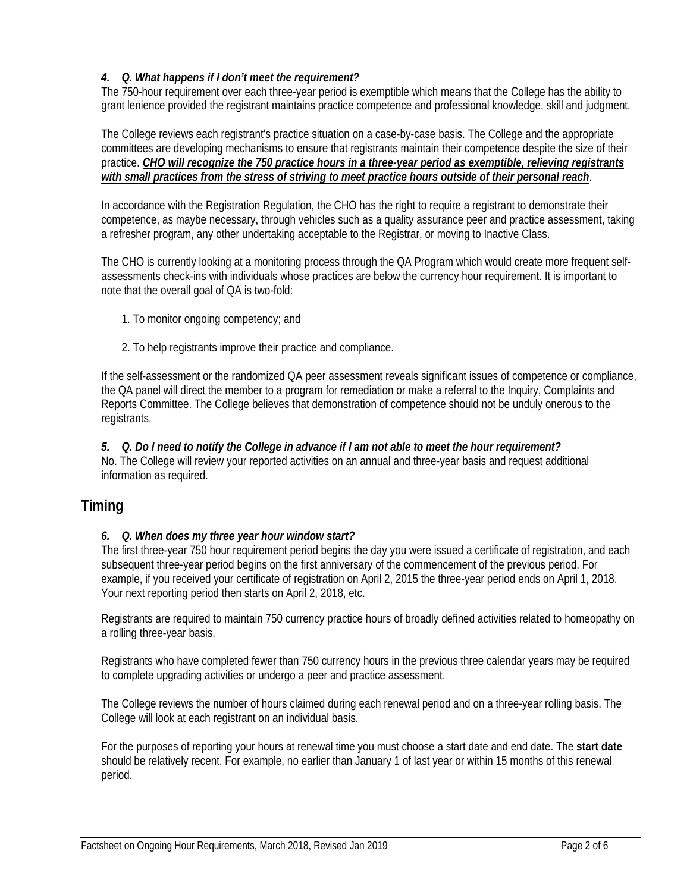#### *4. Q. What happens if I don't meet the requirement?*

The 750-hour requirement over each three-year period is exemptible which means that the College has the ability to grant lenience provided the registrant maintains practice competence and professional knowledge, skill and judgment.

The College reviews each registrant's practice situation on a case-by-case basis. The College and the appropriate committees are developing mechanisms to ensure that registrants maintain their competence despite the size of their practice. *CHO will recognize the 750 practice hours in a three-year period as exemptible, relieving registrants with small practices from the stress of striving to meet practice hours outside of their personal reach*.

In accordance with the Registration Regulation, the CHO has the right to require a registrant to demonstrate their competence, as maybe necessary, through vehicles such as a quality assurance peer and practice assessment, taking a refresher program, any other undertaking acceptable to the Registrar, or moving to Inactive Class.

The CHO is currently looking at a monitoring process through the QA Program which would create more frequent selfassessments check-ins with individuals whose practices are below the currency hour requirement. It is important to note that the overall goal of QA is two-fold:

- 1. To monitor ongoing competency; and
- 2. To help registrants improve their practice and compliance.

If the self-assessment or the randomized QA peer assessment reveals significant issues of competence or compliance, the QA panel will direct the member to a program for remediation or make a referral to the Inquiry, Complaints and Reports Committee. The College believes that demonstration of competence should not be unduly onerous to the registrants.

*5. Q. Do I need to notify the College in advance if I am not able to meet the hour requirement?*  No. The College will review your reported activities on an annual and three-year basis and request additional information as required.

# **Timing**

#### *6. Q. When does my three year hour window start?*

The first three-year 750 hour requirement period begins the day you were issued a certificate of registration, and each subsequent three-year period begins on the first anniversary of the commencement of the previous period. For example, if you received your certificate of registration on April 2, 2015 the three-year period ends on April 1, 2018. Your next reporting period then starts on April 2, 2018, etc.

Registrants are required to maintain 750 currency practice hours of broadly defined activities related to homeopathy on a rolling three-year basis.

Registrants who have completed fewer than 750 currency hours in the previous three calendar years may be required to complete upgrading activities or undergo a peer and practice assessment.

The College reviews the number of hours claimed during each renewal period and on a three-year rolling basis. The College will look at each registrant on an individual basis.

For the purposes of reporting your hours at renewal time you must choose a start date and end date. The **start date** should be relatively recent. For example, no earlier than January 1 of last year or within 15 months of this renewal period.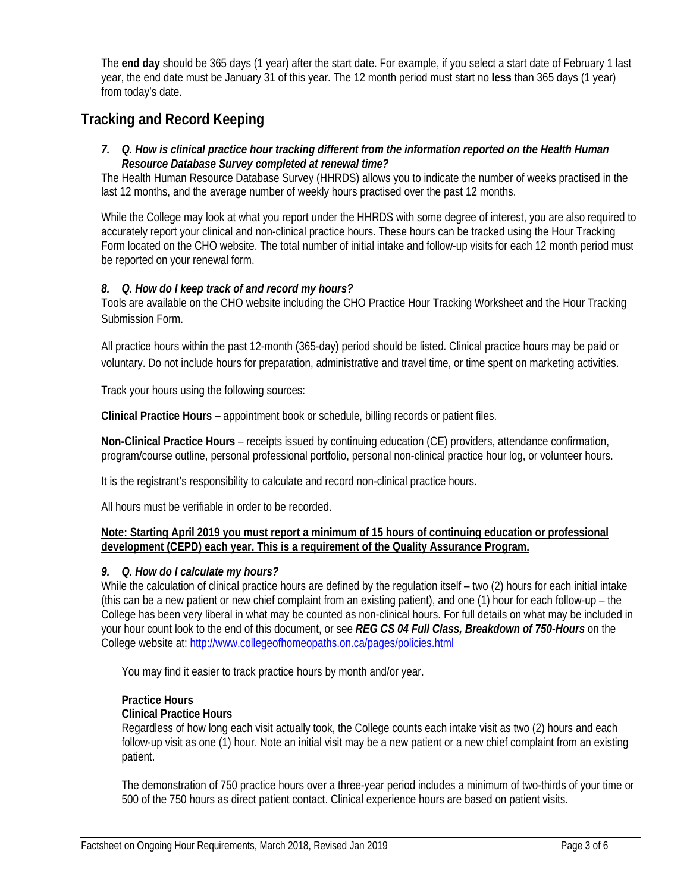The **end day** should be 365 days (1 year) after the start date. For example, if you select a start date of February 1 last year, the end date must be January 31 of this year. The 12 month period must start no **less** than 365 days (1 year) from today's date.

# **Tracking and Record Keeping**

#### *7. Q. How is clinical practice hour tracking different from the information reported on the Health Human Resource Database Survey completed at renewal time?*

The Health Human Resource Database Survey (HHRDS) allows you to indicate the number of weeks practised in the last 12 months, and the average number of weekly hours practised over the past 12 months.

While the College may look at what you report under the HHRDS with some degree of interest, you are also required to accurately report your clinical and non-clinical practice hours. These hours can be tracked using the Hour Tracking Form located on the CHO website. The total number of initial intake and follow-up visits for each 12 month period must be reported on your renewal form.

#### *8. Q. How do I keep track of and record my hours?*

Tools are available on the CHO website including the CHO Practice Hour Tracking Worksheet and the Hour Tracking Submission Form.

All practice hours within the past 12-month (365-day) period should be listed. Clinical practice hours may be paid or voluntary. Do not include hours for preparation, administrative and travel time, or time spent on marketing activities.

Track your hours using the following sources:

**Clinical Practice Hours** – appointment book or schedule, billing records or patient files.

**Non-Clinical Practice Hours** – receipts issued by continuing education (CE) providers, attendance confirmation, program/course outline, personal professional portfolio, personal non-clinical practice hour log, or volunteer hours.

It is the registrant's responsibility to calculate and record non-clinical practice hours.

All hours must be verifiable in order to be recorded.

#### **Note: Starting April 2019 you must report a minimum of 15 hours of continuing education or professional development (CEPD) each year. This is a requirement of the Quality Assurance Program.**

#### *9. Q. How do I calculate my hours?*

While the calculation of clinical practice hours are defined by the regulation itself – two (2) hours for each initial intake (this can be a new patient or new chief complaint from an existing patient), and one (1) hour for each follow-up – the College has been very liberal in what may be counted as non-clinical hours. For full details on what may be included in your hour count look to the end of this document, or see *REG CS 04 Full Class, Breakdown of 750-Hours* on the College website at: http://www.collegeofhomeopaths.on.ca/pages/policies.html

You may find it easier to track practice hours by month and/or year.

#### **Practice Hours**

#### **Clinical Practice Hours**

Regardless of how long each visit actually took, the College counts each intake visit as two (2) hours and each follow-up visit as one (1) hour. Note an initial visit may be a new patient or a new chief complaint from an existing patient.

The demonstration of 750 practice hours over a three-year period includes a minimum of two-thirds of your time or 500 of the 750 hours as direct patient contact. Clinical experience hours are based on patient visits.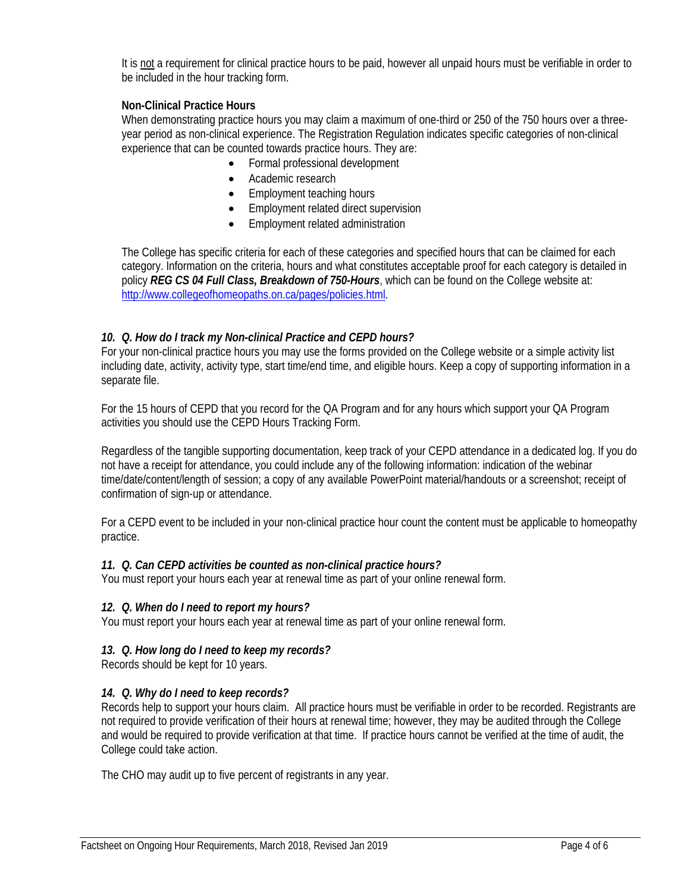It is not a requirement for clinical practice hours to be paid, however all unpaid hours must be verifiable in order to be included in the hour tracking form.

#### **Non-Clinical Practice Hours**

When demonstrating practice hours you may claim a maximum of one-third or 250 of the 750 hours over a threeyear period as non-clinical experience. The Registration Regulation indicates specific categories of non-clinical experience that can be counted towards practice hours. They are:

- Formal professional development
- Academic research
- Employment teaching hours
- **Employment related direct supervision**
- Employment related administration

The College has specific criteria for each of these categories and specified hours that can be claimed for each category. Information on the criteria, hours and what constitutes acceptable proof for each category is detailed in policy *REG CS 04 Full Class, Breakdown of 750-Hours*, which can be found on the College website at: http://www.collegeofhomeopaths.on.ca/pages/policies.html.

#### *10. Q. How do I track my Non-clinical Practice and CEPD hours?*

For your non-clinical practice hours you may use the forms provided on the College website or a simple activity list including date, activity, activity type, start time/end time, and eligible hours. Keep a copy of supporting information in a separate file.

For the 15 hours of CEPD that you record for the QA Program and for any hours which support your QA Program activities you should use the CEPD Hours Tracking Form.

Regardless of the tangible supporting documentation, keep track of your CEPD attendance in a dedicated log. If you do not have a receipt for attendance, you could include any of the following information: indication of the webinar time/date/content/length of session; a copy of any available PowerPoint material/handouts or a screenshot; receipt of confirmation of sign-up or attendance.

For a CEPD event to be included in your non-clinical practice hour count the content must be applicable to homeopathy practice.

#### *11. Q. Can CEPD activities be counted as non-clinical practice hours?*

You must report your hours each year at renewal time as part of your online renewal form.

#### *12. Q. When do I need to report my hours?*

You must report your hours each year at renewal time as part of your online renewal form.

#### *13. Q. How long do I need to keep my records?*

Records should be kept for 10 years.

#### *14. Q. Why do I need to keep records?*

Records help to support your hours claim. All practice hours must be verifiable in order to be recorded. Registrants are not required to provide verification of their hours at renewal time; however, they may be audited through the College and would be required to provide verification at that time. If practice hours cannot be verified at the time of audit, the College could take action.

The CHO may audit up to five percent of registrants in any year.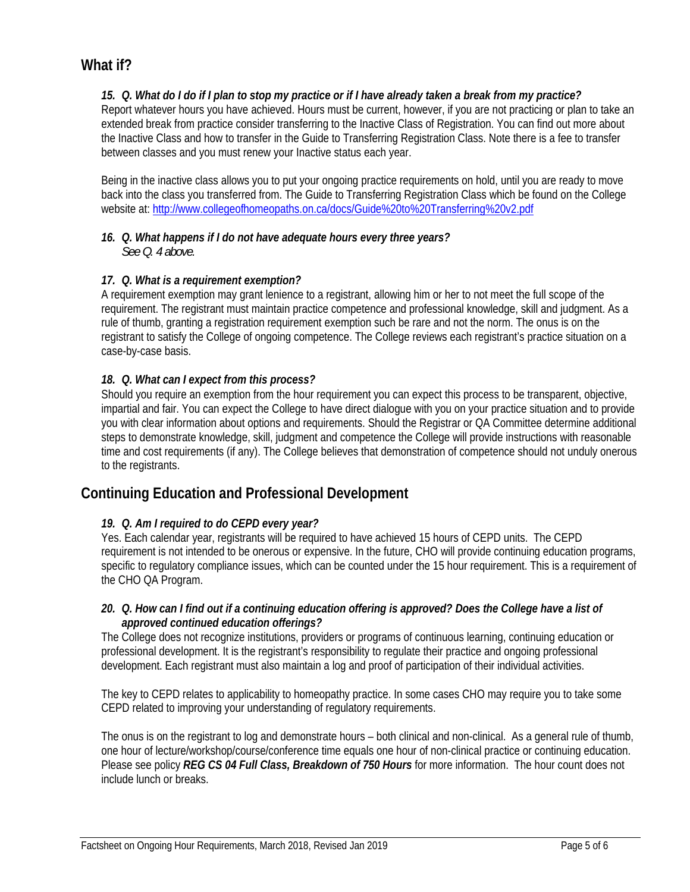# **What if?**

#### *15. Q. What do I do if I plan to stop my practice or if I have already taken a break from my practice?*

Report whatever hours you have achieved. Hours must be current, however, if you are not practicing or plan to take an extended break from practice consider transferring to the Inactive Class of Registration. You can find out more about the Inactive Class and how to transfer in the Guide to Transferring Registration Class. Note there is a fee to transfer between classes and you must renew your Inactive status each year.

Being in the inactive class allows you to put your ongoing practice requirements on hold, until you are ready to move back into the class you transferred from. The Guide to Transferring Registration Class which be found on the College website at: http://www.collegeofhomeopaths.on.ca/docs/Guide%20to%20Transferring%20v2.pdf

#### *16. Q. What happens if I do not have adequate hours every three years? See Q. 4 above.*

#### *17. Q. What is a requirement exemption?*

A requirement exemption may grant lenience to a registrant, allowing him or her to not meet the full scope of the requirement. The registrant must maintain practice competence and professional knowledge, skill and judgment. As a rule of thumb, granting a registration requirement exemption such be rare and not the norm. The onus is on the registrant to satisfy the College of ongoing competence. The College reviews each registrant's practice situation on a case-by-case basis.

#### *18. Q. What can I expect from this process?*

Should you require an exemption from the hour requirement you can expect this process to be transparent, objective, impartial and fair. You can expect the College to have direct dialogue with you on your practice situation and to provide you with clear information about options and requirements. Should the Registrar or QA Committee determine additional steps to demonstrate knowledge, skill, judgment and competence the College will provide instructions with reasonable time and cost requirements (if any). The College believes that demonstration of competence should not unduly onerous to the registrants.

## **Continuing Education and Professional Development**

#### *19. Q. Am I required to do CEPD every year?*

Yes. Each calendar year, registrants will be required to have achieved 15 hours of CEPD units. The CEPD requirement is not intended to be onerous or expensive. In the future, CHO will provide continuing education programs, specific to regulatory compliance issues, which can be counted under the 15 hour requirement. This is a requirement of the CHO QA Program.

#### *20. Q. How can I find out if a continuing education offering is approved? Does the College have a list of approved continued education offerings?*

The College does not recognize institutions, providers or programs of continuous learning, continuing education or professional development. It is the registrant's responsibility to regulate their practice and ongoing professional development. Each registrant must also maintain a log and proof of participation of their individual activities.

The key to CEPD relates to applicability to homeopathy practice. In some cases CHO may require you to take some CEPD related to improving your understanding of regulatory requirements.

The onus is on the registrant to log and demonstrate hours – both clinical and non-clinical. As a general rule of thumb, one hour of lecture/workshop/course/conference time equals one hour of non-clinical practice or continuing education. Please see policy *REG CS 04 Full Class, Breakdown of 750 Hours* for more information. The hour count does not include lunch or breaks.